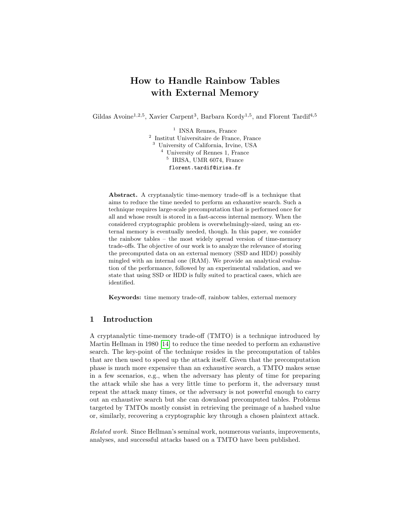# How to Handle Rainbow Tables with External Memory

Gildas Avoine<sup>1,2,5</sup>, Xavier Carpent<sup>3</sup>, Barbara Kordy<sup>1,5</sup>, and Florent Tardif<sup>4,5</sup>

<sup>1</sup> INSA Rennes, France Institut Universitaire de France, France University of California, Irvine, USA University of Rennes 1, France IRISA, UMR 6074, France florent.tardif@irisa.fr

Abstract. A cryptanalytic time-memory trade-off is a technique that aims to reduce the time needed to perform an exhaustive search. Such a technique requires large-scale precomputation that is performed once for all and whose result is stored in a fast-access internal memory. When the considered cryptographic problem is overwhelmingly-sized, using an external memory is eventually needed, though. In this paper, we consider the rainbow tables – the most widely spread version of time-memory trade-offs. The objective of our work is to analyze the relevance of storing the precomputed data on an external memory (SSD and HDD) possibly mingled with an internal one (RAM). We provide an analytical evaluation of the performance, followed by an experimental validation, and we state that using SSD or HDD is fully suited to practical cases, which are identified.

Keywords: time memory trade-off, rainbow tables, external memory

# 1 Introduction

A cryptanalytic time-memory trade-off (TMTO) is a technique introduced by Martin Hellman in 1980 [\[14\]](#page-16-0) to reduce the time needed to perform an exhaustive search. The key-point of the technique resides in the precomputation of tables that are then used to speed up the attack itself. Given that the precomputation phase is much more expensive than an exhaustive search, a TMTO makes sense in a few scenarios, e.g., when the adversary has plenty of time for preparing the attack while she has a very little time to perform it, the adversary must repeat the attack many times, or the adversary is not powerful enough to carry out an exhaustive search but she can download precomputed tables. Problems targeted by TMTOs mostly consist in retrieving the preimage of a hashed value or, similarly, recovering a cryptographic key through a chosen plaintext attack.

Related work. Since Hellman's seminal work, noumerous variants, improvements, analyses, and successful attacks based on a TMTO have been published.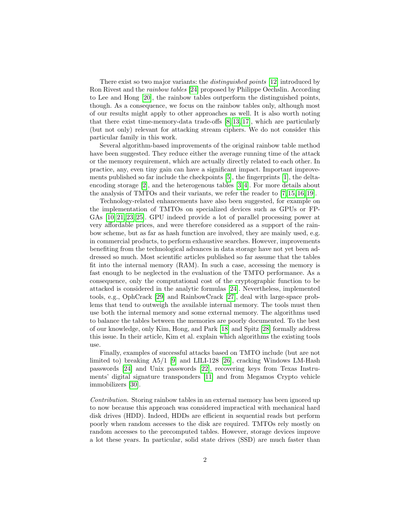There exist so two major variants: the *distinguished points* [\[12\]](#page-16-1) introduced by Ron Rivest and the rainbow tables [\[24\]](#page-17-0) proposed by Philippe Oechslin. According to Lee and Hong [\[20\]](#page-17-1), the rainbow tables outperform the distinguished points, though. As a consequence, we focus on the rainbow tables only, although most of our results might apply to other approaches as well. It is also worth noting that there exist time-memory-data trade-offs [\[8,](#page-16-2) [13,](#page-16-3) [17\]](#page-17-2), which are particularly (but not only) relevant for attacking stream ciphers. We do not consider this particular family in this work.

Several algorithm-based improvements of the original rainbow table method have been suggested. They reduce either the average running time of the attack or the memory requirement, which are actually directly related to each other. In practice, any, even tiny gain can have a significant impact. Important improvements published so far include the checkpoints [\[5\]](#page-16-4), the fingerprints [\[1\]](#page-15-0), the deltaencoding storage [\[2\]](#page-16-5), and the heterogenous tables [\[3,](#page-16-6) [4\]](#page-16-7). For more details about the analysis of TMTOs and their variants, we refer the reader to [\[7,](#page-16-8) [15,](#page-16-9) [16,](#page-16-10) [19\]](#page-17-3).

Technology-related enhancements have also been suggested, for example on the implementation of TMTOs on specialized devices such as GPUs or FP-GAs [\[10,](#page-16-11) [21,](#page-17-4) [23,](#page-17-5) [25\]](#page-17-6). GPU indeed provide a lot of parallel processing power at very affordable prices, and were therefore considered as a support of the rainbow scheme, but as far as hash function are involved, they are mainly used, e.g. in commercial products, to perform exhaustive searches. However, improvements benefiting from the technological advances in data storage have not yet been addressed so much. Most scientific articles published so far assume that the tables fit into the internal memory (RAM). In such a case, accessing the memory is fast enough to be neglected in the evaluation of the TMTO performance. As a consequence, only the computational cost of the cryptographic function to be attacked is considered in the analytic formulas [\[24\]](#page-17-0). Nevertheless, implemented tools, e.g., OphCrack [\[29\]](#page-17-7) and RainbowCrack [\[27\]](#page-17-8), deal with large-space problems that tend to outweigh the available internal memory. The tools must then use both the internal memory and some external memory. The algorithms used to balance the tables between the memories are poorly documented. To the best of our knowledge, only Kim, Hong, and Park [\[18\]](#page-17-9) and Spitz [\[28\]](#page-17-10) formally address this issue. In their article, Kim et al. explain which algorithms the existing tools use.

Finally, examples of successful attacks based on TMTO include (but are not limited to) breaking A5/1 [\[9\]](#page-16-12) and LILI-128 [\[26\]](#page-17-11), cracking Windows LM-Hash passwords [\[24\]](#page-17-0) and Unix passwords [\[22\]](#page-17-12), recovering keys from Texas Instruments' digital signature transponders [\[11\]](#page-16-13) and from Megamos Crypto vehicle immobilizers [\[30\]](#page-17-13).

Contribution. Storing rainbow tables in an external memory has been ignored up to now because this approach was considered impractical with mechanical hard disk drives (HDD). Indeed, HDDs are efficient in sequential reads but perform poorly when random accesses to the disk are required. TMTOs rely mostly on random accesses to the precomputed tables. However, storage devices improve a lot these years. In particular, solid state drives (SSD) are much faster than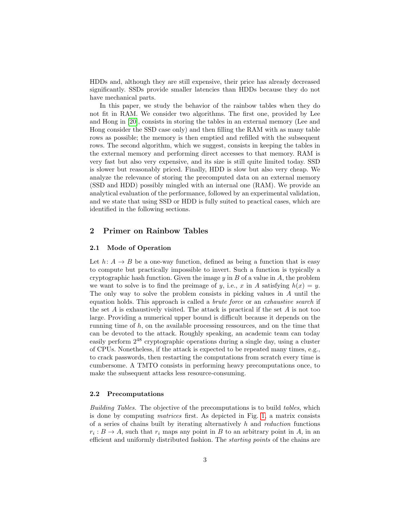HDDs and, although they are still expensive, their price has already decreased significantly. SSDs provide smaller latencies than HDDs because they do not have mechanical parts.

In this paper, we study the behavior of the rainbow tables when they do not fit in RAM. We consider two algorithms. The first one, provided by Lee and Hong in [\[20\]](#page-17-1), consists in storing the tables in an external memory (Lee and Hong consider the SSD case only) and then filling the RAM with as many table rows as possible; the memory is then emptied and refilled with the subsequent rows. The second algorithm, which we suggest, consists in keeping the tables in the external memory and performing direct accesses to that memory. RAM is very fast but also very expensive, and its size is still quite limited today. SSD is slower but reasonably priced. Finally, HDD is slow but also very cheap. We analyze the relevance of storing the precomputed data on an external memory (SSD and HDD) possibly mingled with an internal one (RAM). We provide an analytical evaluation of the performance, followed by an experimental validation, and we state that using SSD or HDD is fully suited to practical cases, which are identified in the following sections.

# <span id="page-2-0"></span>2 Primer on Rainbow Tables

#### 2.1 Mode of Operation

Let  $h: A \rightarrow B$  be a one-way function, defined as being a function that is easy to compute but practically impossible to invert. Such a function is typically a cryptographic hash function. Given the image  $y$  in B of a value in A, the problem we want to solve is to find the preimage of y, i.e., x in A satisfying  $h(x) = y$ . The only way to solve the problem consists in picking values in A until the equation holds. This approach is called a brute force or an exhaustive search if the set A is exhaustively visited. The attack is practical if the set A is not too large. Providing a numerical upper bound is difficult because it depends on the running time of  $h$ , on the available processing ressources, and on the time that can be devoted to the attack. Roughly speaking, an academic team can today easily perform 2<sup>48</sup> cryptographic operations during a single day, using a cluster of CPUs. Nonetheless, if the attack is expected to be repeated many times, e.g., to crack passwords, then restarting the computations from scratch every time is cumbersome. A TMTO consists in performing heavy precomputations once, to make the subsequent attacks less resource-consuming.

#### 2.2 Precomputations

Building Tables. The objective of the precomputations is to build tables, which is done by computing matrices first. As depicted in Fig. [1,](#page-3-0) a matrix consists of a series of chains built by iterating alternatively  $h$  and reduction functions  $r_i: B \to A$ , such that  $r_i$  maps any point in B to an arbitrary point in A, in an efficient and uniformly distributed fashion. The starting points of the chains are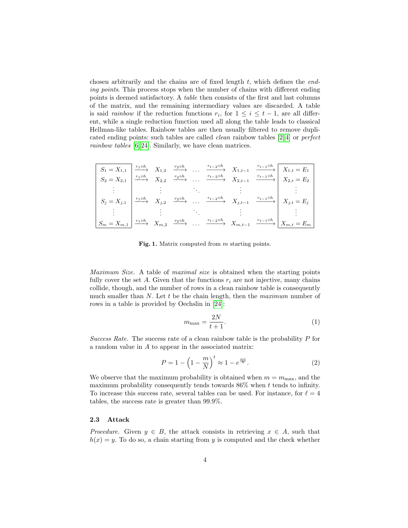chosen arbitrarily and the chains are of fixed length  $t$ , which defines the *end*ing points. This process stops when the number of chains with different ending points is deemed satisfactory. A table then consists of the first and last columns of the matrix, and the remaining intermediary values are discarded. A table is said *rainbow* if the reduction functions  $r_i$ , for  $1 \leq i \leq t-1$ , are all different, while a single reduction function used all along the table leads to classical Hellman-like tables. Rainbow tables are then usually filtered to remove duplicated ending points: such tables are called clean rainbow tables [\[2,](#page-16-5) [4\]](#page-16-7) or perfect rainbow tables [\[6,](#page-16-14) [24\]](#page-17-0). Similarly, we have clean matrices.

S<sup>1</sup> = X1,<sup>1</sup> r1◦h −−−→ X1,<sup>2</sup> r2◦h −−−→ . . . rt−2◦h −−−−→ X1,t−<sup>1</sup> rt−1◦h −−−−→ X1,t = E<sup>1</sup> S<sup>2</sup> = X2,<sup>1</sup> r1◦h −−−→ X2,<sup>2</sup> r2◦h −−−→ . . . rt−2◦h −−−−→ X2,t−<sup>1</sup> rt−1◦h −−−−→ X2,t = E<sup>2</sup> . . . . . . . . . . . . . . . S<sup>j</sup> = Xj,<sup>1</sup> r1◦h −−−→ Xj,<sup>2</sup> r2◦h −−−→ . . . rt−2◦h −−−−→ Xj,t−<sup>1</sup> rt−1◦h −−−−→ Xj,t = E<sup>j</sup> . . . . . . . . . . . . . . . S<sup>m</sup> = Xm,<sup>1</sup> r1◦h −−−→ Xm,<sup>2</sup> r2◦h −−−→ . . . rt−2◦h −−−−→ Xm,t−<sup>1</sup> rt−1◦h −−−−→ Xm,t = E<sup>m</sup>

<span id="page-3-0"></span>Fig. 1. Matrix computed from m starting points.

Maximum Size. A table of maximal size is obtained when the starting points fully cover the set A. Given that the functions  $r_i$  are not injective, many chains collide, though, and the number of rows in a clean rainbow table is consequently much smaller than  $N$ . Let  $t$  be the chain length, then the *maximum* number of rows in a table is provided by Oechslin in [\[24\]](#page-17-0):

$$
m_{\text{max}} = \frac{2N}{t+1}.\tag{1}
$$

Success Rate. The success rate of a clean rainbow table is the probability P for a random value in A to appear in the associated matrix:

$$
P = 1 - \left(1 - \frac{m}{N}\right)^t \approx 1 - e^{\frac{mt}{N}}.
$$
\n<sup>(2)</sup>

We observe that the maximum probability is obtained when  $m = m_{\text{max}}$ , and the maximum probability consequently tends towards  $86\%$  when t tends to infinity. To increase this success rate, several tables can be used. For instance, for  $\ell = 4$ tables, the success rate is greater than 99.9%.

#### <span id="page-3-1"></span>2.3 Attack

*Procedure.* Given  $y \in B$ , the attack consists in retrieving  $x \in A$ , such that  $h(x) = y$ . To do so, a chain starting from y is computed and the check whether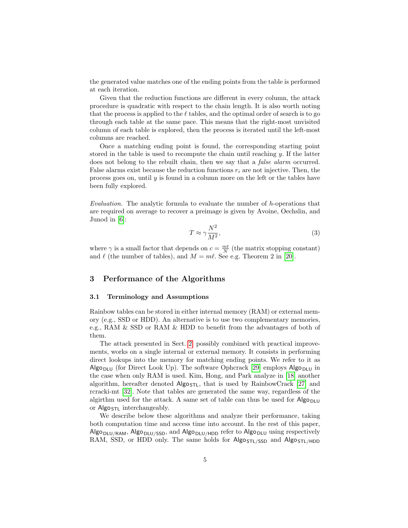the generated value matches one of the ending points from the table is performed at each iteration.

Given that the reduction functions are different in every column, the attack procedure is quadratic with respect to the chain length. It is also worth noting that the process is applied to the  $\ell$  tables, and the optimal order of search is to go through each table at the same pace. This means that the right-most unvisited column of each table is explored, then the process is iterated until the left-most columns are reached.

Once a matching ending point is found, the corresponding starting point stored in the table is used to recompute the chain until reaching  $y$ . If the latter does not belong to the rebuilt chain, then we say that a *false alarm* occurred. False alarms exist because the reduction functions  $r_i$  are not injective. Then, the process goes on, until  $\gamma$  is found in a column more on the left or the tables have been fully explored.

Evaluation. The analytic formula to evaluate the number of h-operations that are required on average to recover a preimage is given by Avoine, Oechslin, and Junod in [\[6\]](#page-16-14):

$$
T \approx \gamma \frac{N^2}{M^2},\tag{3}
$$

where  $\gamma$  is a small factor that depends on  $c = \frac{mt}{N}$  (the matrix stopping constant) and  $\ell$  (the number of tables), and  $M = m\ell$ . See e.g. Theorem 2 in [\[20\]](#page-17-1).

## <span id="page-4-0"></span>3 Performance of the Algorithms

#### 3.1 Terminology and Assumptions

Rainbow tables can be stored in either internal memory (RAM) or external memory (e.g., SSD or HDD). An alternative is to use two complementary memories, e.g., RAM & SSD or RAM & HDD to benefit from the advantages of both of them.

The attack presented in Sect. [2,](#page-2-0) possibly combined with practical improvements, works on a single internal or external memory. It consists in performing direct lookups into the memory for matching ending points. We refer to it as Algo<sub>DLU</sub> (for Direct Look Up). The software Ophcrack [\[29\]](#page-17-7) employs Algo<sub>DLU</sub> in the case when only RAM is used. Kim, Hong, and Park analyze in [\[18\]](#page-17-9) another algorithm, hereafter denoted  $\text{Algo}_{\text{STL}}$ , that is used by RainbowCrack [\[27\]](#page-17-8) and rcracki-mt [\[32\]](#page-17-14). Note that tables are generated the same way, regardless of the algirthm used for the attack. A same set of table can thus be used for  $\mathsf{Algo}_{\mathsf{DLU}}$ or Algo $_{\rm STL}$  interchangeably.

We describe below these algorithms and analyze their performance, taking both computation time and access time into account. In the rest of this paper, Algo<sub>DLU/RAM</sub>, Algo<sub>DLU/SSD</sub>, and Algo<sub>DLU/HDD</sub> refer to Algo<sub>DLU</sub> using respectively RAM, SSD, or HDD only. The same holds for  $\text{Algo}_{\text{STL/SSD}}$  and  $\text{Algo}_{\text{STL/HDD}}$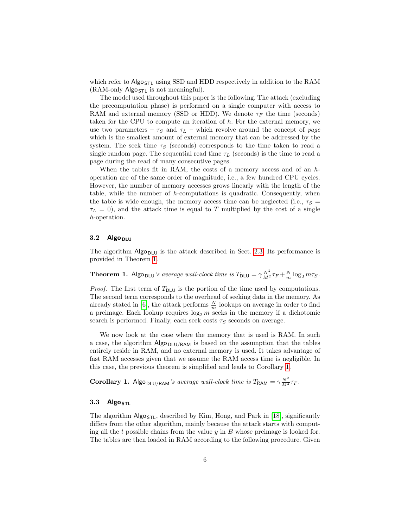which refer to  $\Delta$ lgo<sub>STL</sub> using SSD and HDD respectively in addition to the RAM  $(RAM-only \t{Algo}_{STL}$  is not meaningful).

The model used throughout this paper is the following. The attack (excluding the precomputation phase) is performed on a single computer with access to RAM and external memory (SSD or HDD). We denote  $\tau_F$  the time (seconds) taken for the CPU to compute an iteration of  $h$ . For the external memory, we use two parameters –  $\tau_S$  and  $\tau_L$  – which revolve around the concept of page which is the smallest amount of external memory that can be addressed by the system. The seek time  $\tau<sub>S</sub>$  (seconds) corresponds to the time taken to read a single random page. The sequential read time  $\tau_L$  (seconds) is the time to read a page during the read of many consecutive pages.

When the tables fit in RAM, the costs of a memory access and of an  $h$ operation are of the same order of magnitude, i.e., a few hundred CPU cycles. However, the number of memory accesses grows linearly with the length of the table, while the number of h-computations is quadratic. Consequently, when the table is wide enough, the memory access time can be neglected (i.e.,  $\tau_s$  =  $\tau_L = 0$ , and the attack time is equal to T multiplied by the cost of a single h-operation.

# $3.2$  Algo<sub>DLU</sub>

The algorithm  $\mathsf{Algo}_{\mathsf{DLU}}$  is the attack described in Sect. [2.3.](#page-3-1) Its performance is provided in Theorem [1.](#page-5-0)

<span id="page-5-0"></span>**Theorem 1.** Algo<sub>DLU</sub>'s average wall-clock time is  $T_{\text{DLU}} = \gamma \frac{N^2}{M^2} \tau_F + \frac{N}{m} \log_2 m \tau_S$ .

*Proof.* The first term of  $T_{\text{DLU}}$  is the portion of the time used by computations. The second term corresponds to the overhead of seeking data in the memory. As already stated in [\[6\]](#page-16-14), the attack performs  $\frac{N}{m}$  lookups on average in order to find a preimage. Each lookup requires  $\log_2 m$  seeks in the memory if a dichotomic search is performed. Finally, each seek costs  $\tau<sub>S</sub>$  seconds on average.

We now look at the case where the memory that is used is RAM. In such a case, the algorithm  $\Delta$ lgo<sub>DLU/RAM</sub> is based on the assumption that the tables entirely reside in RAM, and no external memory is used. It takes advantage of fast RAM accesses given that we assume the RAM access time is negligible. In this case, the previous theorem is simplified and leads to Corollary [1.](#page-5-1)

<span id="page-5-1"></span>**Corollary 1.** Algo<sub>DLU/RAM</sub>'s average wall-clock time is  $T_{\text{RAM}} = \gamma \frac{N^2}{M^2} \tau_F$ .

## $3.3$  Algo<sub>STL</sub>

The algorithm  $\text{Algo}_{\text{STL}}$ , described by Kim, Hong, and Park in [\[18\]](#page-17-9), significantly differs from the other algorithm, mainly because the attack starts with computing all the  $t$  possible chains from the value  $y$  in  $B$  whose preimage is looked for. The tables are then loaded in RAM according to the following procedure. Given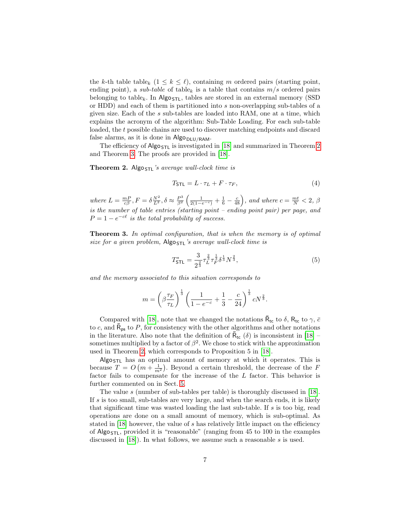the k-th table table<sub>k</sub>  $(1 \leq k \leq \ell)$ , containing m ordered pairs (starting point, ending point), a sub-table of table<sub>k</sub> is a table that contains  $m/s$  ordered pairs belonging to table<sub>k</sub>. In Algo<sub>STL</sub>, tables are stored in an external memory (SSD or HDD) and each of them is partitioned into s non-overlapping sub-tables of a given size. Each of the s sub-tables are loaded into RAM, one at a time, which explains the acronym of the algorithm: Sub-Table Loading. For each sub-table loaded, the t possible chains are used to discover matching endpoints and discard false alarms, as it is done in  $\mathsf{Algo}_{\mathsf{DLU} / \mathsf{RAM}}$ .

The efficiency of  $\text{Algo}_{\text{STL}}$  is investigated in [\[18\]](#page-17-9) and summarized in Theorem [2](#page-6-0) and Theorem [3.](#page-6-1) The proofs are provided in [\[18\]](#page-17-9).

**Theorem 2.** Algo $_{STL}$ 's average wall-clock time is

<span id="page-6-0"></span>
$$
T_{\text{STL}} = L \cdot \tau_L + F \cdot \tau_F,\tag{4}
$$

where  $L = \frac{mP}{c\beta}, F = \delta \frac{N^2}{L^2}, \delta \approx \frac{P^3}{\beta^2}$  $\frac{P^3}{\beta^2} \left( \frac{1}{2(1-e^{-c})} + \frac{1}{6} - \frac{c}{48} \right)$ , and where  $c = \frac{mt}{N} < 2$ ,  $\beta$ is the number of table entries (starting point – ending point pair) per page, and  $P = 1 - e^{-c\ell}$  is the total probability of success.

<span id="page-6-1"></span>Theorem 3. In optimal configuration, that is when the memory is of optimal size for a given problem,  $\mathsf{Algo}_{\mathsf{STL}}$ 's average wall-clock time is

$$
T_{\text{STL}}^* = \frac{3}{2^{\frac{2}{3}}} \tau_L^{\frac{2}{3}} \tau_F^{\frac{1}{3}} \delta^{\frac{1}{3}} N^{\frac{2}{3}},\tag{5}
$$

and the memory associated to this situation corresponds to

$$
m = \left(\beta \frac{\tau_F}{\tau_L}\right)^{\frac{1}{3}} \left(\frac{1}{1 - e^{-c}} + \frac{1}{3} - \frac{c}{24}\right)^{\frac{1}{3}} cN^{\frac{2}{3}}.
$$

Compared with [\[18\]](#page-17-9), note that we changed the notations  $\bar{R}_{tc}$  to  $\delta$ ,  $R_{tc}$  to  $\gamma$ ,  $\bar{c}$ to c, and  $\bar{R}_{ps}$  to P, for consistency with the other algorithms and other notations in the literature. Also note that the definition of  $\bar{R}_{tc}(\delta)$  is inconsistent in [\[18\]](#page-17-9) – sometimes multiplied by a factor of  $\beta^2$ . We chose to stick with the approximation used in Theorem [2,](#page-6-0) which corresponds to Proposition 5 in [\[18\]](#page-17-9).

Algo $STL$  has an optimal amount of memory at which it operates. This is because  $T = O(m + \frac{1}{m^2})$ . Beyond a certain threshold, the decrease of the F factor fails to compensate for the increase of the L factor. This behavior is further commented on in Sect. [5.](#page-8-0)

The value s (number of sub-tables per table) is thoroughly discussed in [\[18\]](#page-17-9). If  $s$  is too small, sub-tables are very large, and when the search ends, it is likely that significant time was wasted loading the last sub-table. If s is too big, read operations are done on a small amount of memory, which is sub-optimal. As stated in [\[18\]](#page-17-9) however, the value of s has relatively little impact on the efficiency of Algo $STL$ , provided it is "reasonable" (ranging from 45 to 100 in the examples discussed in [\[18\]](#page-17-9)). In what follows, we assume such a reasonable s is used.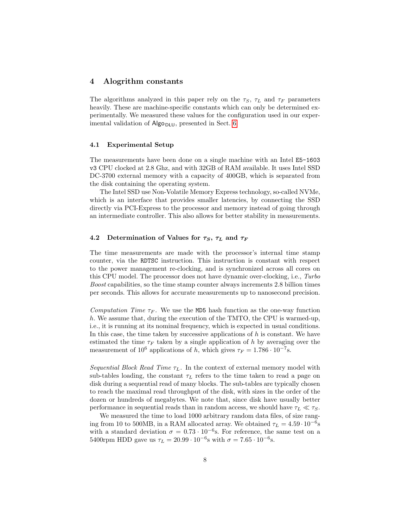## <span id="page-7-0"></span>4 Alogrithm constants

The algorithms analyzed in this paper rely on the  $\tau_s$ ,  $\tau_L$  and  $\tau_F$  parameters heavily. These are machine-specific constants which can only be determined experimentally. We measured these values for the configuration used in our experimental validation of  $\mathsf{Algo}_{\mathsf{DLU}}$ , presented in Sect. [6.](#page-12-0)

#### 4.1 Experimental Setup

The measurements have been done on a single machine with an Intel E5-1603 v3 CPU clocked at 2.8 Ghz, and with 32GB of RAM available. It uses Intel SSD DC-3700 external memory with a capacity of 400GB, which is separated from the disk containing the operating system.

The Intel SSD use Non-Volatile Memory Express technology, so-called NVMe, which is an interface that provides smaller latencies, by connecting the SSD directly via PCI-Express to the processor and memory instead of going through an intermediate controller. This also allows for better stability in measurements.

## 4.2 Determination of Values for  $\tau_S$ ,  $\tau_L$  and  $\tau_F$

The time measurements are made with the processor's internal time stamp counter, via the RDTSC instruction. This instruction is constant with respect to the power management re-clocking, and is synchronized across all cores on this CPU model. The processor does not have dynamic over-clocking, i.e., Turbo Boost capabilities, so the time stamp counter always increments 2.8 billion times per seconds. This allows for accurate measurements up to nanosecond precision.

Computation Time  $\tau_F$ . We use the MD5 hash function as the one-way function h. We assume that, during the execution of the TMTO, the CPU is warmed-up, i.e., it is running at its nominal frequency, which is expected in usual conditions. In this case, the time taken by successive applications of  $h$  is constant. We have estimated the time  $\tau_F$  taken by a single application of h by averaging over the measurement of 10<sup>6</sup> applications of h, which gives  $\tau_F = 1.786 \cdot 10^{-7}$  s.

Sequential Block Read Time  $\tau_L$ . In the context of external memory model with sub-tables loading, the constant  $\tau_L$  refers to the time taken to read a page on disk during a sequential read of many blocks. The sub-tables are typically chosen to reach the maximal read throughput of the disk, with sizes in the order of the dozen or hundreds of megabytes. We note that, since disk have usually better performance in sequential reads than in random access, we should have  $\tau_L \ll \tau_S$ .

We measured the time to load 1000 arbitrary random data files, of size ranging from 10 to 500MB, in a RAM allocated array. We obtained  $\tau_L = 4.59 \cdot 10^{-6}$ s with a standard deviation  $\sigma = 0.73 \cdot 10^{-6}$ s. For reference, the same test on a 5400rpm HDD gave us  $\tau_L = 20.99 \cdot 10^{-6}$ s with  $\sigma = 7.65 \cdot 10^{-6}$ s.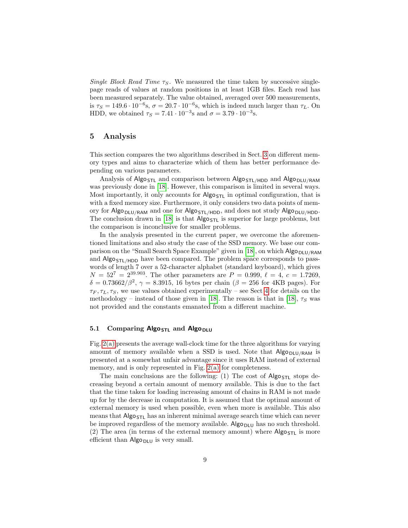Single Block Read Time  $\tau_S$ . We measured the time taken by successive singlepage reads of values at random positions in at least 1GB files. Each read has been measured separately. The value obtained, averaged over 500 measurements, is  $\tau_S = 149.6 \cdot 10^{-6}$ s,  $\sigma = 20.7 \cdot 10^{-6}$ s, which is indeed much larger than  $\tau_L$ . On HDD, we obtained  $\tau_S = 7.41 \cdot 10^{-3}$ s and  $\sigma = 3.79 \cdot 10^{-3}$ s.

## <span id="page-8-0"></span>5 Analysis

This section compares the two algorithms described in Sect. [3](#page-4-0) on different memory types and aims to characterize which of them has better performance depending on various parameters.

Analysis of Algo $_{\text{STL}}$  and comparison between Algo $_{\text{STL/HDD}}$  and Algo<sub>DLU/RAM</sub> was previously done in [\[18\]](#page-17-9). However, this comparison is limited in several ways. Most importantly, it only accounts for  $\text{Algo}_{\text{STL}}$  in optimal configuration, that is with a fixed memory size. Furthermore, it only considers two data points of memory for Algo<sub>DLU/RAM</sub> and one for Algo<sub>STL/HDD</sub>, and does not study Algo<sub>DLU/HDD</sub>. The conclusion drawn in [\[18\]](#page-17-9) is that  $\text{Algo}_{\text{STL}}$  is superior for large problems, but the comparison is inconclusive for smaller problems.

In the analysis presented in the current paper, we overcome the aforementioned limitations and also study the case of the SSD memory. We base our com-parison on the "Small Search Space Example" given in [\[18\]](#page-17-9), on which  $\mathsf{Algo}_{\mathsf{DLU/RAM}}$ and  $\text{Algo}_{\text{STL/HDD}}$  have been compared. The problem space corresponds to passwords of length 7 over a 52-character alphabet (standard keyboard), which gives  $N = 52^7 = 2^{39.903}$ . The other parameters are  $P = 0.999, \ell = 4, c = 1.7269$ ,  $\delta = 0.73662/\beta^2$ ,  $\gamma = 8.3915$ , 16 bytes per chain ( $\beta = 256$  for 4KB pages). For  $\tau_F, \tau_L, \tau_S$ , we use values obtained experimentally – see Sect [4](#page-7-0) for details on the methodology – instead of those given in [\[18\]](#page-17-9). The reason is that in [18],  $\tau<sub>S</sub>$  was not provided and the constants emanated from a different machine.

## 5.1 Comparing  $\mathsf{Algo}_{\mathsf{STL}}$  and  $\mathsf{Algo}_{\mathsf{DLU}}$

Fig. [2\(a\)](#page-9-0) presents the average wall-clock time for the three algorithms for varying amount of memory available when a SSD is used. Note that  $\mathsf{Algo}_{\mathsf{DLU/RAM}}$  is presented at a somewhat unfair advantage since it uses RAM instead of external memory, and is only represented in Fig. [2\(a\)](#page-9-0) for completeness.

The main conclusions are the following: (1) The cost of  $\text{Algo}_{\text{STL}}$  stops decreasing beyond a certain amount of memory available. This is due to the fact that the time taken for loading increasing amount of chains in RAM is not made up for by the decrease in computation. It is assumed that the optimal amount of external memory is used when possible, even when more is available. This also means that  $\text{Algo}_{\text{STL}}$  has an inherent minimal average search time which can never be improved regardless of the memory available. Algo $_{\text{DLU}}$  has no such threshold. (2) The area (in terms of the external memory amount) where  $\text{Algo}_{\text{STL}}$  is more efficient than  $\mathsf{Algo}_{\mathsf{DLU}}$  is very small.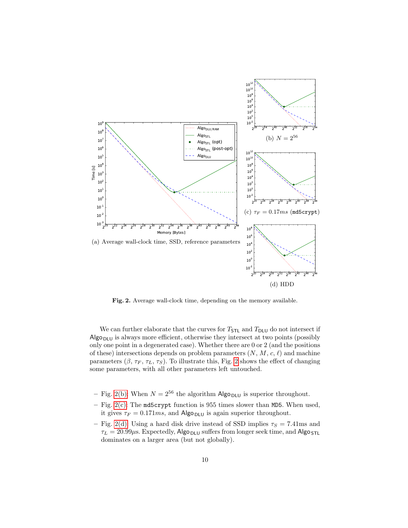<span id="page-9-3"></span><span id="page-9-2"></span><span id="page-9-0"></span>

<span id="page-9-4"></span><span id="page-9-1"></span>Fig. 2. Average wall-clock time, depending on the memory available.

We can further elaborate that the curves for  $T_{\text{STL}}$  and  $T_{\text{DLU}}$  do not intersect if  $\mathsf{Algo}_{\mathsf{DLU}}$  is always more efficient, otherwise they intersect at two points (possibly only one point in a degenerated case). Whether there are 0 or 2 (and the positions of these) intersections depends on problem parameters  $(N, M, c, \ell)$  and machine parameters  $(\beta, \tau_F, \tau_L, \tau_S)$ . To illustrate this, Fig. [2](#page-9-1) shows the effect of changing some parameters, with all other parameters left untouched.

- Fig. [2\(b\):](#page-9-2) When  $N = 2^{56}$  the algorithm Algo<sub>DLU</sub> is superior throughout.
- Fig.  $2(c)$ : The md5crypt function is 955 times slower than MD5. When used, it gives  $\tau_F = 0.171 \text{ms}$ , and Algo<sub>DLU</sub> is again superior throughout.
- Fig. [2\(d\):](#page-9-4) Using a hard disk drive instead of SSD implies  $\tau_s = 7.41$ ms and  $\tau_L = 20.99 \mu s$ . Expectedly, Algo<sub>DLU</sub> suffers from longer seek time, and Algo<sub>STL</sub> dominates on a larger area (but not globally).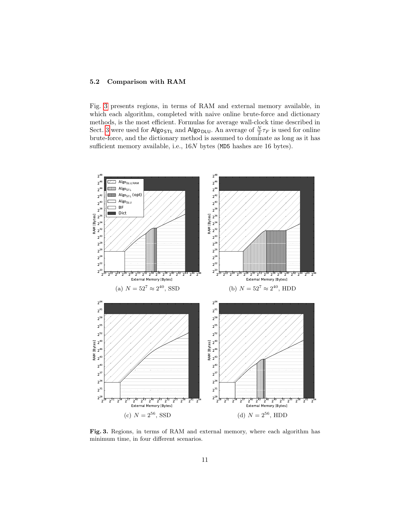## 5.2 Comparison with RAM

Fig. [3](#page-10-0) presents regions, in terms of RAM and external memory available, in which each algorithm, completed with naive online brute-force and dictionary methods, is the most efficient. Formulas for average wall-clock time described in Sect. [3](#page-4-0) were used for Algo<sub>STL</sub> and Algo<sub>DLU</sub>. An average of  $\frac{N}{2} \tau_F$  is used for online brute-force, and the dictionary method is assumed to dominate as long as it has sufficient memory available, i.e.,  $16N$  bytes (MD5 hashes are 16 bytes).



<span id="page-10-0"></span>Fig. 3. Regions, in terms of RAM and external memory, where each algorithm has minimum time, in four different scenarios.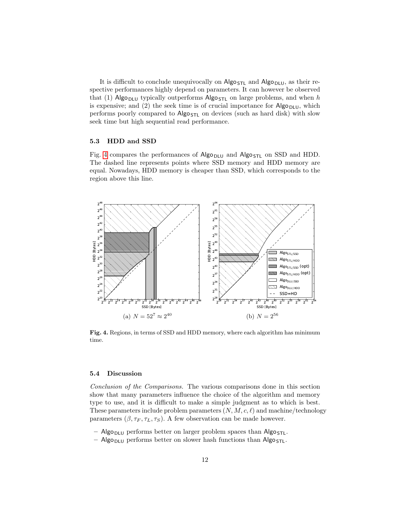It is difficult to conclude unequivocally on  $\text{Algo}_{\text{STL}}$  and  $\text{Algo}_{\text{DLU}}$ , as their respective performances highly depend on parameters. It can however be observed that (1) Algo<sub>DLU</sub> typically outperforms Algo<sub>STL</sub> on large problems, and when h is expensive; and  $(2)$  the seek time is of crucial importance for Algo<sub>DLU</sub>, which performs poorly compared to  $\text{Algo}_{\text{STL}}$  on devices (such as hard disk) with slow seek time but high sequential read performance.

#### 5.3 HDD and SSD

Fig. [4](#page-11-0) compares the performances of  $\mathsf{Algo}_{\mathsf{DLU}}$  and  $\mathsf{Algo}_{\mathsf{STL}}$  on SSD and HDD. The dashed line represents points where SSD memory and HDD memory are equal. Nowadays, HDD memory is cheaper than SSD, which corresponds to the region above this line.



<span id="page-11-0"></span>Fig. 4. Regions, in terms of SSD and HDD memory, where each algorithm has minimum time.

#### 5.4 Discussion

Conclusion of the Comparisons. The various comparisons done in this section show that many parameters influence the choice of the algorithm and memory type to use, and it is difficult to make a simple judgment as to which is best. These parameters include problem parameters  $(N, M, c, \ell)$  and machine/technology parameters  $(\beta, \tau_F, \tau_L, \tau_S)$ . A few observation can be made however.

- Algo<sub>DLU</sub> performs better on larger problem spaces than  $\text{Algo}_{\text{STL}}$ .
- Algo<sub>DLU</sub> performs better on slower hash functions than Algo $_{STL}$ .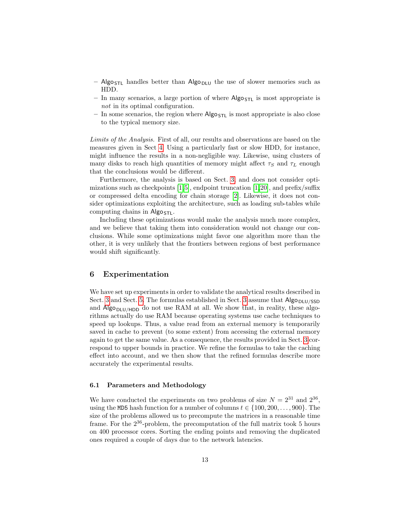- Algo $_{STL}$  handles better than Algo<sub>DLU</sub> the use of slower memories such as HDD.
- In many scenarios, a large portion of where  $\text{Algo}_{\text{STL}}$  is most appropriate is not in its optimal configuration.
- In some scenarios, the region where  $\mathsf{Algo}_{\mathsf{STL}}$  is most appropriate is also close to the typical memory size.

Limits of the Analysis. First of all, our results and observations are based on the measures given in Sect [4.](#page-7-0) Using a particularly fast or slow HDD, for instance, might influence the results in a non-negligible way. Likewise, using clusters of many disks to reach high quantities of memory might affect  $\tau<sub>S</sub>$  and  $\tau<sub>L</sub>$  enough that the conclusions would be different.

Furthermore, the analysis is based on Sect. [3,](#page-4-0) and does not consider optimizations such as checkpoints  $[1,5]$  $[1,5]$ , endpoint truncation  $[1,20]$  $[1,20]$ , and prefix/suffix or compressed delta encoding for chain storage [\[2\]](#page-16-5). Likewise, it does not consider optimizations exploiting the architecture, such as loading sub-tables while computing chains in  $\text{Algo}_{\text{STL}}$ .

Including these optimizations would make the analysis much more complex, and we believe that taking them into consideration would not change our conclusions. While some optimizations might favor one algorithm more than the other, it is very unlikely that the frontiers between regions of best performance would shift significantly.

# <span id="page-12-0"></span>6 Experimentation

We have set up experiments in order to validate the analytical results described in Sect. [3](#page-4-0) and Sect. [5.](#page-8-0) The formulas established in Sect. 3 assume that  $\mathsf{Algo}_{\mathsf{DLU}/\mathsf{SSD}}$ and  $\mathsf{Algo}_{\mathsf{DLU/HDD}}$  do not use RAM at all. We show that, in reality, these algorithms actually do use RAM because operating systems use cache techniques to speed up lookups. Thus, a value read from an external memory is temporarily saved in cache to prevent (to some extent) from accessing the external memory again to get the same value. As a consequence, the results provided in Sect. [3](#page-4-0) correspond to upper bounds in practice. We refine the formulas to take the caching effect into account, and we then show that the refined formulas describe more accurately the experimental results.

#### 6.1 Parameters and Methodology

We have conducted the experiments on two problems of size  $N = 2^{31}$  and  $2^{36}$ , using the MD5 hash function for a number of columns  $t \in \{100, 200, \ldots, 900\}$ . The size of the problems allowed us to precompute the matrices in a reasonable time frame. For the  $2^{36}$ -problem, the precomputation of the full matrix took 5 hours on 400 processor cores. Sorting the ending points and removing the duplicated ones required a couple of days due to the network latencies.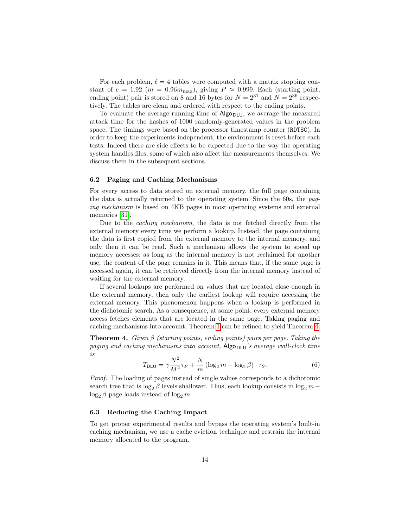For each problem,  $\ell = 4$  tables were computed with a matrix stopping constant of  $c = 1.92$  ( $m = 0.96m_{\text{max}}$ ), giving  $P \approx 0.999$ . Each (starting point, ending point) pair is stored on 8 and 16 bytes for  $N = 2^{31}$  and  $N = 2^{36}$  respectively. The tables are clean and ordered with respect to the ending points.

To evaluate the average running time of  $\mathsf{Algo}_{\mathsf{DLU}}$ , we average the measured attack time for the hashes of 1000 randomly-generated values in the problem space. The timings were based on the processor timestamp counter (RDTSC). In order to keep the experiments independent, the environment is reset before each tests. Indeed there are side effects to be expected due to the way the operating system handles files, some of which also affect the measurements themselves. We discuss them in the subsequent sections.

## 6.2 Paging and Caching Mechanisms

For every access to data stored on external memory, the full page containing the data is actually returned to the operating system. Since the 60s, the paging mechanism is based on 4KB pages in most operating systems and external memories [\[31\]](#page-17-15).

Due to the caching mechanism, the data is not fetched directly from the external memory every time we perform a lookup. Instead, the page containing the data is first copied from the external memory to the internal memory, and only then it can be read. Such a mechanism allows the system to speed up memory accesses: as long as the internal memory is not reclaimed for another use, the content of the page remains in it. This means that, if the same page is accessed again, it can be retrieved directly from the internal memory instead of waiting for the external memory.

If several lookups are performed on values that are located close enough in the external memory, then only the earliest lookup will require accessing the external memory. This phenomenon happens when a lookup is performed in the dichotomic search. As a consequence, at some point, every external memory access fetches elements that are located in the same page. Taking paging and caching mechanisms into account, Theorem [1](#page-5-0) can be refined to yield Theorem [4.](#page-13-0)

<span id="page-13-0"></span>**Theorem 4.** Given  $\beta$  (starting points, ending points) pairs per page. Taking the paging and caching mechanisms into account,  $\mathsf{Algo}_{\mathsf{DLU}}$ 's average wall-clock time is

<span id="page-13-1"></span>
$$
T_{\text{DLU}} = \gamma \frac{N^2}{M^2} \tau_F + \frac{N}{m} \left( \log_2 m - \log_2 \beta \right) \cdot \tau_S. \tag{6}
$$

Proof. The loading of pages instead of single values corresponds to a dichotomic search tree that is  $\log_2 \beta$  levels shallower. Thus, each lookup consists in  $\log_2 m$  –  $\log_2 \beta$  page loads instead of  $\log_2 m$ .

## 6.3 Reducing the Caching Impact

To get proper experimental results and bypass the operating system's built-in caching mechanism, we use a cache eviction technique and restrain the internal memory allocated to the program.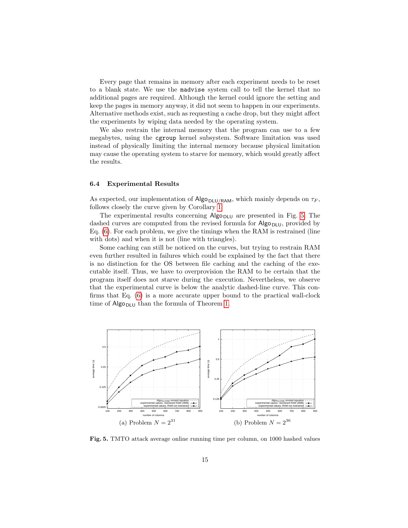Every page that remains in memory after each experiment needs to be reset to a blank state. We use the madvise system call to tell the kernel that no additional pages are required. Although the kernel could ignore the setting and keep the pages in memory anyway, it did not seem to happen in our experiments. Alternative methods exist, such as requesting a cache drop, but they might affect the experiments by wiping data needed by the operating system.

We also restrain the internal memory that the program can use to a few megabytes, using the cgroup kernel subsystem. Software limitation was used instead of physically limiting the internal memory because physical limitation may cause the operating system to starve for memory, which would greatly affect the results.

#### 6.4 Experimental Results

As expected, our implementation of Algo<sub>DLU/RAM</sub>, which mainly depends on  $\tau_F$ , follows closely the curve given by Corollary [1.](#page-5-1)

The experimental results concerning  $\mathsf{Algo}_\mathsf{DLU}$  are presented in Fig. [5.](#page-14-0) The dashed curves are computed from the revised formula for  $\mathsf{Algo}_{\mathsf{DLU}}$ , provided by Eq. [\(6\)](#page-13-1). For each problem, we give the timings when the RAM is restrained (line with dots) and when it is not (line with triangles).

Some caching can still be noticed on the curves, but trying to restrain RAM even further resulted in failures which could be explained by the fact that there is no distinction for the OS between file caching and the caching of the executable itself. Thus, we have to overprovision the RAM to be certain that the program itself does not starve during the execution. Nevertheless, we observe that the experimental curve is below the analytic dashed-line curve. This confirms that Eq. [\(6\)](#page-13-1) is a more accurate upper bound to the practical wall-clock time of  $\mathsf{Algo}_{\mathsf{DLU}}$  than the formula of Theorem [1.](#page-5-0)



<span id="page-14-0"></span>Fig. 5. TMTO attack average online running time per column, on 1000 hashed values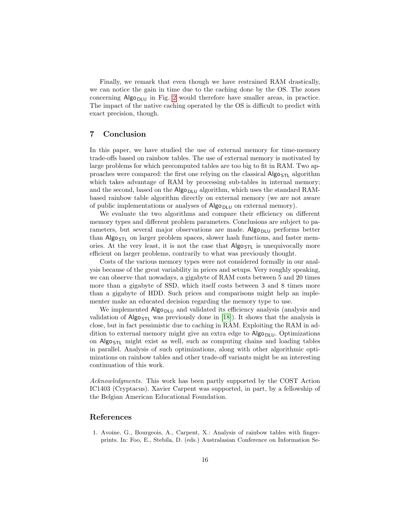Finally, we remark that even though we have restrained RAM drastically, we can notice the gain in time due to the caching done by the OS. The zones concerning  $\mathsf{Algo}_{\mathsf{DLU}}$  in Fig. [2](#page-9-1) would therefore have smaller areas, in practice. The impact of the native caching operated by the OS is difficult to predict with exact precision, though.

# 7 Conclusion

In this paper, we have studied the use of external memory for time-memory trade-offs based on rainbow tables. The use of external memory is motivated by large problems for which precomputed tables are too big to fit in RAM. Two approaches were compared: the first one relying on the classical  $\mathsf{Algo}_{\mathsf{STL}}$  algorithm which takes advantage of RAM by processing sub-tables in internal memory; and the second, based on the  $\mathsf{Algo}_{\mathsf{DLU}}$  algorithm, which uses the standard RAMbased rainbow table algorithm directly on external memory (we are not aware of public implementations or analyses of  $\mathsf{Algo}_{\mathsf{DLU}}$  on external memory).

We evaluate the two algorithms and compare their efficiency on different memory types and different problem parameters. Conclusions are subject to parameters, but several major observations are made. Algo $_{\text{DLU}}$  performs better than  $\text{Algo}_{\text{STL}}$  on larger problem spaces, slower hash functions, and faster memories. At the very least, it is not the case that  $\mathsf{Algo}_{\mathsf{STL}}$  is unequivocally more efficient on larger problems, contrarily to what was previously thought.

Costs of the various memory types were not considered formally in our analysis because of the great variability in prices and setups. Very roughly speaking, we can observe that nowadays, a gigabyte of RAM costs between 5 and 20 times more than a gigabyte of SSD, which itself costs between 3 and 8 times more than a gigabyte of HDD. Such prices and comparisons might help an implementer make an educated decision regarding the memory type to use.

We implemented  $\Delta$ lgo<sub>DLU</sub> and validated its efficiency analysis (analysis and validation of Algo $_{\text{STL}}$  was previously done in [\[18\]](#page-17-9)). It shows that the analysis is close, but in fact pessimistic due to caching in RAM. Exploiting the RAM in addition to external memory might give an extra edge to  $\mathsf{Algo}_{\mathsf{DLU}}$ . Optimizations on  $\text{Algo}_{\text{STL}}$  might exist as well, such as computing chains and loading tables in parallel. Analysis of such optimizations, along with other algorithmic optimizations on rainbow tables and other trade-off variants might be an interesting continuation of this work.

Acknowledgments. This work has been partly supported by the COST Action IC1403 (Cryptacus). Xavier Carpent was supported, in part, by a fellowship of the Belgian American Educational Foundation.

# References

<span id="page-15-0"></span>1. Avoine, G., Bourgeois, A., Carpent, X.: Analysis of rainbow tables with fingerprints. In: Foo, E., Stebila, D. (eds.) Australasian Conference on Information Se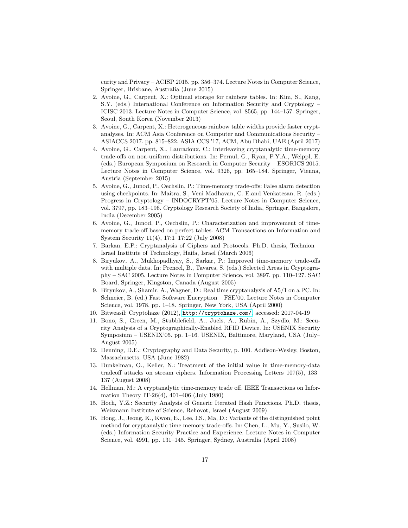curity and Privacy – ACISP 2015. pp. 356–374. Lecture Notes in Computer Science, Springer, Brisbane, Australia (June 2015)

- <span id="page-16-5"></span>2. Avoine, G., Carpent, X.: Optimal storage for rainbow tables. In: Kim, S., Kang, S.Y. (eds.) International Conference on Information Security and Cryptology – ICISC 2013. Lecture Notes in Computer Science, vol. 8565, pp. 144–157. Springer, Seoul, South Korea (November 2013)
- <span id="page-16-6"></span>3. Avoine, G., Carpent, X.: Heterogeneous rainbow table widths provide faster cryptanalyses. In: ACM Asia Conference on Computer and Communications Security – ASIACCS 2017. pp. 815–822. ASIA CCS '17, ACM, Abu Dhabi, UAE (April 2017)
- <span id="page-16-7"></span>4. Avoine, G., Carpent, X., Lauradoux, C.: Interleaving cryptanalytic time-memory trade-offs on non-uniform distributions. In: Pernul, G., Ryan, P.Y.A., Weippl, E. (eds.) European Symposium on Research in Computer Security – ESORICS 2015. Lecture Notes in Computer Science, vol. 9326, pp. 165–184. Springer, Vienna, Austria (September 2015)
- <span id="page-16-4"></span>5. Avoine, G., Junod, P., Oechslin, P.: Time-memory trade-offs: False alarm detection using checkpoints. In: Maitra, S., Veni Madhavan, C. E.and Venkatesan, R. (eds.) Progress in Cryptology – INDOCRYPT'05. Lecture Notes in Computer Science, vol. 3797, pp. 183–196. Cryptology Research Society of India, Springer, Bangalore, India (December 2005)
- <span id="page-16-14"></span>6. Avoine, G., Junod, P., Oechslin, P.: Characterization and improvement of timememory trade-off based on perfect tables. ACM Transactions on Information and System Security 11(4), 17:1–17:22 (July 2008)
- <span id="page-16-8"></span>7. Barkan, E.P.: Cryptanalysis of Ciphers and Protocols. Ph.D. thesis, Technion – Israel Institute of Technology, Haifa, Israel (March 2006)
- <span id="page-16-2"></span>8. Biryukov, A., Mukhopadhyay, S., Sarkar, P.: Improved time-memory trade-offs with multiple data. In: Preneel, B., Tavares, S. (eds.) Selected Areas in Cryptography – SAC 2005. Lecture Notes in Computer Science, vol. 3897, pp. 110–127. SAC Board, Springer, Kingston, Canada (August 2005)
- <span id="page-16-12"></span>9. Biryukov, A., Shamir, A., Wagner, D.: Real time cryptanalysis of A5/1 on a PC. In: Schneier, B. (ed.) Fast Software Encryption – FSE'00. Lecture Notes in Computer Science, vol. 1978, pp. 1–18. Springer, New York, USA (April 2000)
- <span id="page-16-11"></span>10. Bitweasil: Cryptohaze (2012), <http://cryptohaze.com/>, accessed: 2017-04-19
- <span id="page-16-13"></span>11. Bono, S., Green, M., Stubblefield, A., Juels, A., Rubin, A., Szydlo, M.: Security Analysis of a Cryptographically-Enabled RFID Device. In: USENIX Security Symposium – USENIX'05. pp. 1–16. USENIX, Baltimore, Maryland, USA (July– August 2005)
- <span id="page-16-1"></span>12. Denning, D.E.: Cryptography and Data Security, p. 100. Addison-Wesley, Boston, Massachusetts, USA (June 1982)
- <span id="page-16-3"></span>13. Dunkelman, O., Keller, N.: Treatment of the initial value in time-memory-data tradeoff attacks on stream ciphers. Information Processing Letters 107(5), 133– 137 (August 2008)
- <span id="page-16-0"></span>14. Hellman, M.: A cryptanalytic time-memory trade off. IEEE Transactions on Information Theory IT-26(4), 401–406 (July 1980)
- <span id="page-16-9"></span>15. Hoch, Y.Z.: Security Analysis of Generic Iterated Hash Functions. Ph.D. thesis, Weizmann Institute of Science, Rehovot, Israel (August 2009)
- <span id="page-16-10"></span>16. Hong, J., Jeong, K., Kwon, E., Lee, I.S., Ma, D.: Variants of the distinguished point method for cryptanalytic time memory trade-offs. In: Chen, L., Mu, Y., Susilo, W. (eds.) Information Security Practice and Experience. Lecture Notes in Computer Science, vol. 4991, pp. 131–145. Springer, Sydney, Australia (April 2008)